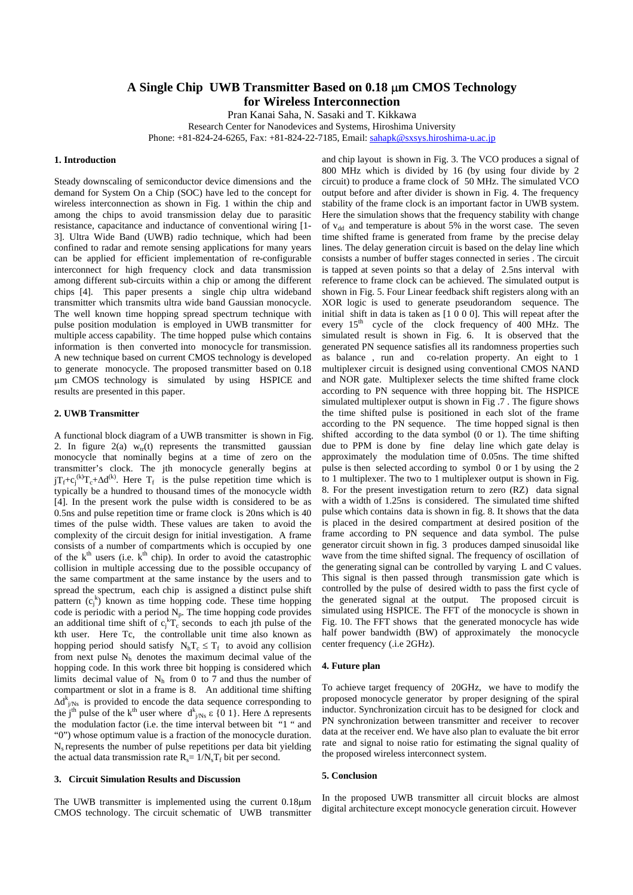# **A Single Chip UWB Transmitter Based on 0.18** µ**m CMOS Technology for Wireless Interconnection**

Pran Kanai Saha, N. Sasaki and T. Kikkawa

Research Center for Nanodevices and Systems, Hiroshima University Phone: +81-824-24-6265, Fax: +81-824-22-7185, Email: [sahapk@sxsys.hiroshima-u.ac.jp](mailto:sahapk@sxsys.hiroshima-u.ac.jp)

#### **1. Introduction**

Steady downscaling of semiconductor device dimensions and the demand for System On a Chip (SOC) have led to the concept for wireless interconnection as shown in Fig. 1 within the chip and among the chips to avoid transmission delay due to parasitic resistance, capacitance and inductance of conventional wiring [1- 3]. Ultra Wide Band (UWB) radio technique, which had been confined to radar and remote sensing applications for many years can be applied for efficient implementation of re-configurable interconnect for high frequency clock and data transmission among different sub-circuits within a chip or among the different chips [4]. This paper presents a single chip ultra wideband transmitter which transmits ultra wide band Gaussian monocycle. The well known time hopping spread spectrum technique with pulse position modulation is employed in UWB transmitter for multiple access capability. The time hopped pulse which contains information is then converted into monocycle for transmission. A new technique based on current CMOS technology is developed to generate monocycle. The proposed transmitter based on 0.18 µm CMOS technology is simulated by using HSPICE and results are presented in this paper.

### **2. UWB Transmitter**

A functional block diagram of a UWB transmitter is shown in Fig. 2. In figure 2(a)  $w_{tr}(t)$  represents the transmitted gaussian monocycle that nominally begins at a time of zero on the transmitter's clock. The jth monocycle generally begins at  $jT_f+c_j^{(k)}T_c+\Delta d^{(k)}$ . Here  $T_f$  is the pulse repetition time which is typically be a hundred to thousand times of the monocycle width [4]. In the present work the pulse width is considered to be as 0.5ns and pulse repetition time or frame clock is 20ns which is 40 times of the pulse width. These values are taken to avoid the complexity of the circuit design for initial investigation. A frame consists of a number of compartments which is occupied by one of the  $k<sup>th</sup>$  users (i.e.  $k<sup>th</sup>$  chip). In order to avoid the catastrophic collision in multiple accessing due to the possible occupancy of the same compartment at the same instance by the users and to spread the spectrum, each chip is assigned a distinct pulse shift pattern  $(c_j^k)$  known as time hopping code. These time hopping code is periodic with a period  $N_p$ . The time hopping code provides an additional time shift of  $c_1^kT_c$  seconds to each jth pulse of the kth user. Here Tc, the controllable unit time also known as hopping period should satisfy  $N<sub>h</sub>T<sub>c</sub> \le T<sub>f</sub>$  to avoid any collision from next pulse  $N<sub>h</sub>$  denotes the maximum decimal value of the hopping code. In this work three bit hopping is considered which limits decimal value of  $N<sub>h</sub>$  from 0 to 7 and thus the number of compartment or slot in a frame is 8. An additional time shifting  $\Delta d_{j/Ns}^{k}$  is provided to encode the data sequence corresponding to the j<sup>th</sup> pulse of the k<sup>th</sup> user where  $d_{j/Ns}^{k} \varepsilon$  {0 1}. Here  $\Delta$  represents the modulation factor (i.e. the time interval between bit "1 " and "0") whose optimum value is a fraction of the monocycle duration.  $N_s$  represents the number of pulse repetitions per data bit yielding the actual data transmission rate  $R_s = 1/N_sT_f$  bit per second.

# **3. Circuit Simulation Results and Discussion**

The UWB transmitter is implemented using the current 0.18µm CMOS technology. The circuit schematic of UWB transmitter

and chip layout is shown in Fig. 3. The VCO produces a signal of 800 MHz which is divided by 16 (by using four divide by 2 circuit) to produce a frame clock of 50 MHz. The simulated VCO output before and after divider is shown in Fig. 4. The frequency stability of the frame clock is an important factor in UWB system. Here the simulation shows that the frequency stability with change of  $v_{dd}$  and temperature is about 5% in the worst case. The seven time shifted frame is generated from frame by the precise delay lines. The delay generation circuit is based on the delay line which consists a number of buffer stages connected in series . The circuit is tapped at seven points so that a delay of 2.5ns interval with reference to frame clock can be achieved. The simulated output is shown in Fig. 5. Four Linear feedback shift registers along with an XOR logic is used to generate pseudorandom sequence. The initial shift in data is taken as [1 0 0 0]. This will repeat after the every  $15<sup>th</sup>$  cycle of the clock frequency of 400 MHz. The simulated result is shown in Fig. 6. It is observed that the generated PN sequence satisfies all its randomness properties such as balance , run and co-relation property. An eight to 1 multiplexer circuit is designed using conventional CMOS NAND and NOR gate. Multiplexer selects the time shifted frame clock according to PN sequence with three hopping bit. The HSPICE simulated multiplexer output is shown in Fig .7 . The figure shows the time shifted pulse is positioned in each slot of the frame according to the PN sequence. The time hopped signal is then shifted according to the data symbol (0 or 1). The time shifting due to PPM is done by fine delay line which gate delay is approximately the modulation time of 0.05ns. The time shifted pulse is then selected according to symbol 0 or 1 by using the 2 to 1 multiplexer. The two to 1 multiplexer output is shown in Fig. 8. For the present investigation return to zero (RZ) data signal with a width of 1.25ns is considered. The simulated time shifted pulse which contains data is shown in fig. 8. It shows that the data is placed in the desired compartment at desired position of the frame according to PN sequence and data symbol. The pulse generator circuit shown in fig. 3 produces damped sinusoidal like wave from the time shifted signal. The frequency of oscillation of the generating signal can be controlled by varying L and C values. This signal is then passed through transmission gate which is controlled by the pulse of desired width to pass the first cycle of the generated signal at the output. The proposed circuit is simulated using HSPICE. The FFT of the monocycle is shown in Fig. 10. The FFT shows that the generated monocycle has wide half power bandwidth (BW) of approximately the monocycle center frequency (.i.e 2GHz).

## **4. Future plan**

To achieve target frequency of 20GHz, we have to modify the proposed monocycle generator by proper designing of the spiral inductor. Synchronization circuit has to be designed for clock and PN synchronization between transmitter and receiver to recover data at the receiver end. We have also plan to evaluate the bit error rate and signal to noise ratio for estimating the signal quality of the proposed wireless interconnect system.

#### **5. Conclusion**

In the proposed UWB transmitter all circuit blocks are almost digital architecture except monocycle generation circuit. However